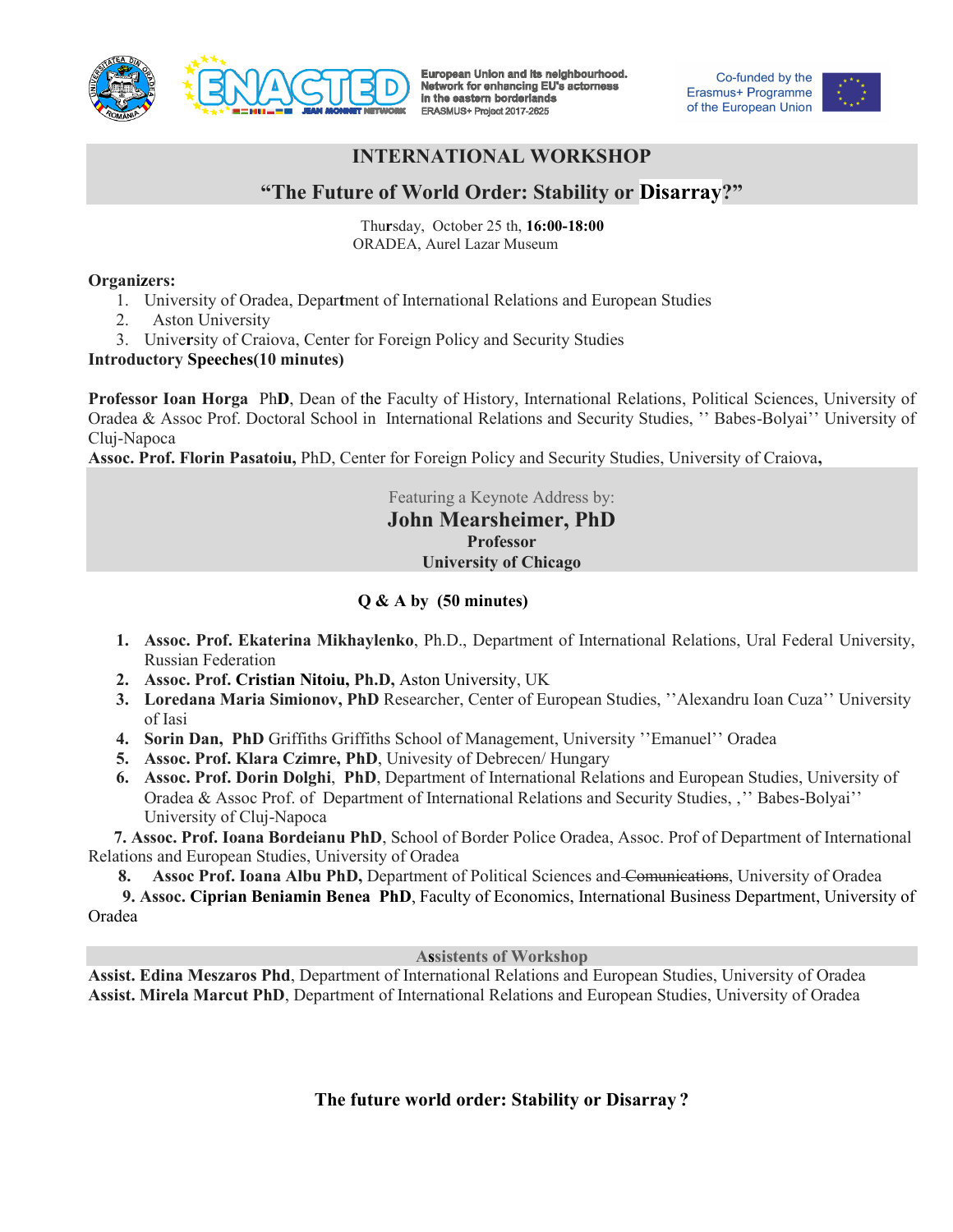

European Union and its neighbourhood. Network for enhancing EU's actorness in the eastern borderlands ERASMUS+ Project 2017-2625

Co-funded by the Erasmus+ Programme of the European Union



# **INTERNATIONAL WORKSHOP**

# **"The Future of World Order: Stability or Disarray?"**

 Thu**r**sday, October 25 th, **16:00-18:00** ORADEA, Aurel Lazar Museum

#### **Organizers:**

- 1. University of Oradea, Depar**t**ment of International Relations and European Studies
- 2. Aston University
- 3. Unive**r**sity of Craiova, Center for Foreign Policy and Security Studies

### **Introductory Speeches(10 minutes)**

**Professor Ioan Horga** Ph**D**, Dean of the Faculty of History, International Relations, Political Sciences, University of Oradea & Assoc Prof. Doctoral School in International Relations and Security Studies, '' Babes-Bolyai'' University of Cluj-Napoca

**Assoc. Prof. Florin Pasatoiu,** PhD, Center for Foreign Policy and Security Studies, University of Craiova**,** 

Featuring a Keynote Address by: **John Mearsheimer, PhD Professor University of Chicago** 

### **Q & A by (50 minutes)**

- **1. Assoc. Prof. Ekaterina Mikhaylenko**, Ph.D., Department of International Relations, Ural Federal University, Russian Federation
- **2. Assoc. Prof. Cristian Nitoiu, Ph.D,** Aston University, UK
- **3. Loredana Maria Simionov, PhD** Researcher, Center of European Studies, ''Alexandru Ioan Cuza'' University of Iasi
- **4. Sorin Dan, PhD** Griffiths Griffiths School of Management, University ''Emanuel'' Oradea
- **5. Assoc. Prof. Klara Czimre, PhD**, Univesity of Debrecen/ Hungary
- **6. Assoc. Prof. Dorin Dolghi**, **PhD**, Department of International Relations and European Studies, University of Oradea & Assoc Prof. of Department of International Relations and Security Studies, ''' Babes-Bolyai'' University of Cluj-Napoca

 **7. Assoc. Prof. Ioana Bordeianu PhD**, School of Border Police Oradea, Assoc. Prof of Department of International Relations and European Studies, University of Oradea

**8. Assoc Prof. Ioana Albu PhD,** Department of Political Sciences and Comunications, University of Oradea

 **9. Assoc. Ciprian Beniamin Benea PhD**, Faculty of Economics, International Business Department, University of Oradea

#### **Assistents of Workshop**

**Assist. Edina Meszaros Phd**, Department of International Relations and European Studies, University of Oradea **Assist. Mirela Marcut PhD**, Department of International Relations and European Studies, University of Oradea

**The future world order: Stability or Disarray ?**